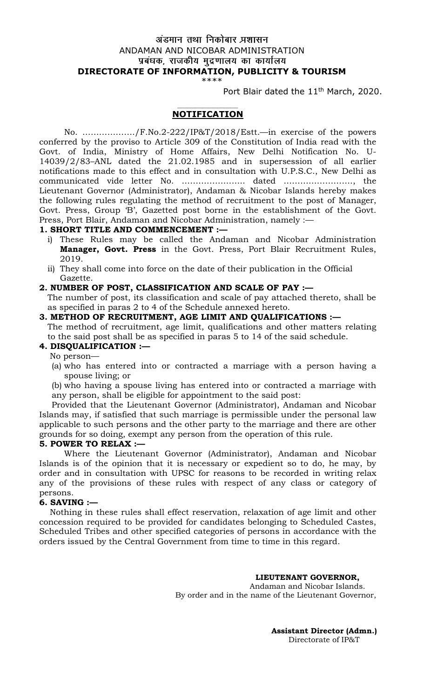# अंडमान तथा निकोबार प्रशासन ANDAMAN AND NICOBAR ADMINISTRATION प्रबंधक, राजकीय मुद्रणालय का कार्यालय **DIRECTORATE OF INFORMATION, PUBLICITY & TOURISM**

\*\*\*\*

Port Blair dated the 11<sup>th</sup> March, 2020.

#### **\_\_\_\_\_\_\_\_\_\_\_\_\_\_\_\_\_\_\_\_\_\_\_\_ NOTIFICATION**

No. ………………./F.No.2-222/IP&T/2018/Estt.—in exercise of the powers conferred by the proviso to Article 309 of the Constitution of India read with the Govt. of India, Ministry of Home Affairs, New Delhi Notification No. U-14039/2/83–ANL dated the 21.02.1985 and in supersession of all earlier notifications made to this effect and in consultation with U.P.S.C., New Delhi as communicated vide letter No. ………………….. dated ……………………., the Lieutenant Governor (Administrator), Andaman & Nicobar Islands hereby makes the following rules regulating the method of recruitment to the post of Manager, Govt. Press, Group 'B', Gazetted post borne in the establishment of the Govt. Press, Port Blair, Andaman and Nicobar Administration, namely :—

#### **1. SHORT TITLE AND COMMENCEMENT :—**

- i) These Rules may be called the Andaman and Nicobar Administration **Manager, Govt. Press** in the Govt. Press, Port Blair Recruitment Rules, 2019.
- ii) They shall come into force on the date of their publication in the Official Gazette.

#### **2. NUMBER OF POST, CLASSIFICATION AND SCALE OF PAY :—**

The number of post, its classification and scale of pay attached thereto, shall be as specified in paras 2 to 4 of the Schedule annexed hereto.

# **3. METHOD OF RECRUITMENT, AGE LIMIT AND QUALIFICATIONS :—**

The method of recruitment, age limit, qualifications and other matters relating to the said post shall be as specified in paras 5 to 14 of the said schedule.

### **4. DISQUALIFICATION :—**

- No person—
- (a) who has entered into or contracted a marriage with a person having a spouse living; or

(b) who having a spouse living has entered into or contracted a marriage with any person, shall be eligible for appointment to the said post:

Provided that the Lieutenant Governor (Administrator), Andaman and Nicobar Islands may, if satisfied that such marriage is permissible under the personal law applicable to such persons and the other party to the marriage and there are other grounds for so doing, exempt any person from the operation of this rule.

### **5. POWER TO RELAX :—**

Where the Lieutenant Governor (Administrator), Andaman and Nicobar Islands is of the opinion that it is necessary or expedient so to do, he may, by order and in consultation with UPSC for reasons to be recorded in writing relax any of the provisions of these rules with respect of any class or category of persons.

### **6. SAVING :—**

 Nothing in these rules shall effect reservation, relaxation of age limit and other concession required to be provided for candidates belonging to Scheduled Castes, Scheduled Tribes and other specified categories of persons in accordance with the orders issued by the Central Government from time to time in this regard.

**LIEUTENANT GOVERNOR,**

Andaman and Nicobar Islands. By order and in the name of the Lieutenant Governor,

> **Assistant Director (Admn.)** Directorate of IP&T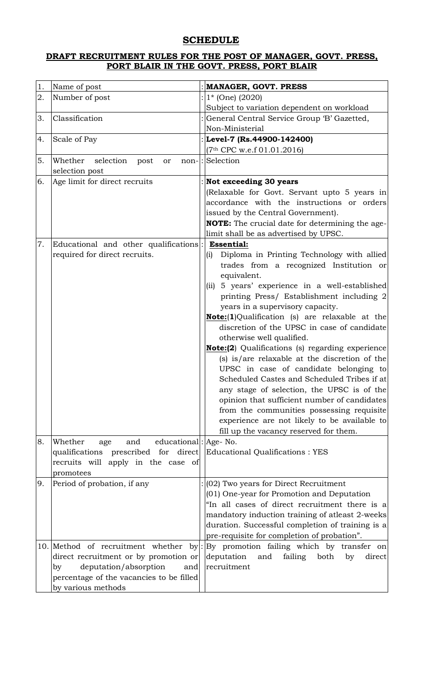# **SCHEDULE**

## **DRAFT RECRUITMENT RULES FOR THE POST OF MANAGER, GOVT. PRESS, PORT BLAIR IN THE GOVT. PRESS, PORT BLAIR**

| 1. | Name of post                                   | <b>MANAGER, GOVT. PRESS</b>                             |
|----|------------------------------------------------|---------------------------------------------------------|
| 2. | Number of post                                 | $:$ 1* (One) (2020)                                     |
|    |                                                | Subject to variation dependent on workload              |
| 3. | Classification                                 | General Central Service Group 'B' Gazetted,             |
|    |                                                | Non-Ministerial                                         |
| 4. | Scale of Pay                                   | : Level-7 (Rs.44900-142400)                             |
|    |                                                | (7 <sup>th</sup> CPC w.e.f 01.01.2016)                  |
| 5. | selection<br>Whether<br>post<br>or             | non-: Selection                                         |
|    | selection post                                 |                                                         |
| 6. | Age limit for direct recruits                  | Not exceeding 30 years                                  |
|    |                                                | (Relaxable for Govt. Servant upto 5 years in            |
|    |                                                | accordance with the instructions or orders              |
|    |                                                | issued by the Central Government).                      |
|    |                                                | NOTE: The crucial date for determining the age-         |
|    |                                                | limit shall be as advertised by UPSC.                   |
| 7. | Educational and other qualifications:          | <b>Essential:</b>                                       |
|    | required for direct recruits.                  | Diploma in Printing Technology with allied<br>(i)       |
|    |                                                | trades from a recognized Institution or                 |
|    |                                                | equivalent.                                             |
|    |                                                | (ii) 5 years' experience in a well-established          |
|    |                                                | printing Press/ Establishment including 2               |
|    |                                                | years in a supervisory capacity.                        |
|    |                                                | <b>Note:</b> (1)Qualification (s) are relaxable at the  |
|    |                                                | discretion of the UPSC in case of candidate             |
|    |                                                | otherwise well qualified.                               |
|    |                                                | <b>Note:(2)</b> Qualifications (s) regarding experience |
|    |                                                | (s) is/are relaxable at the discretion of the           |
|    |                                                | UPSC in case of candidate belonging to                  |
|    |                                                | Scheduled Castes and Scheduled Tribes if at             |
|    |                                                | any stage of selection, the UPSC is of the              |
|    |                                                | opinion that sufficient number of candidates            |
|    |                                                | from the communities possessing requisite               |
|    |                                                | experience are not likely to be available to            |
|    |                                                | fill up the vacancy reserved for them.                  |
| 8. | educational: Age- No.<br>Whether<br>and<br>age |                                                         |
|    | qualifications prescribed for direct           | Educational Qualifications : YES                        |
|    | recruits will apply in the case of             |                                                         |
|    | promotees                                      |                                                         |
| 9. | Period of probation, if any                    | $(02)$ Two years for Direct Recruitment                 |
|    |                                                | (01) One-year for Promotion and Deputation              |
|    |                                                | "In all cases of direct recruitment there is a          |
|    |                                                | mandatory induction training of atleast 2-weeks         |
|    |                                                | duration. Successful completion of training is a        |
|    |                                                | pre-requisite for completion of probation".             |
|    | 10. Method of recruitment whether              | by: By promotion failing which by transfer on           |
|    | direct recruitment or by promotion or          | failing<br>deputation<br>and<br>both<br>by<br>direct    |
|    | deputation/absorption<br>and<br>by             | recruitment                                             |
|    | percentage of the vacancies to be filled       |                                                         |
|    | by various methods                             |                                                         |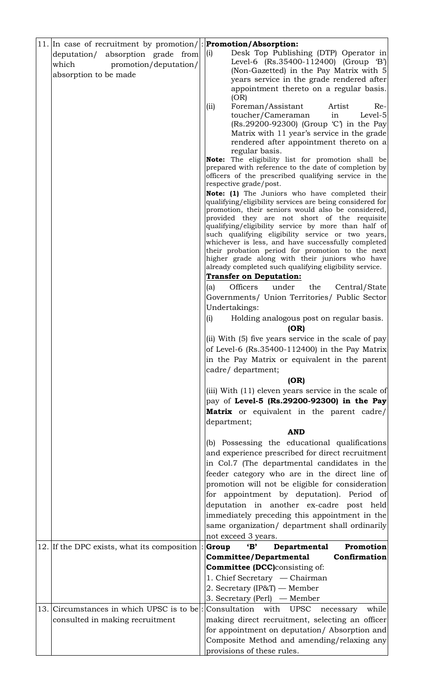| 11. In case of recruitment by promotion/ : Promotion/Absorption:    |                                                                                                                                  |
|---------------------------------------------------------------------|----------------------------------------------------------------------------------------------------------------------------------|
| deputation/ absorption grade from<br>which<br>promotion/deputation/ | Desk Top Publishing (DTP) Operator in<br>(i)<br>Level-6 (Rs.35400-112400) (Group 'B')<br>(Non-Gazetted) in the Pay Matrix with 5 |
| absorption to be made                                               | years service in the grade rendered after<br>appointment thereto on a regular basis.                                             |
|                                                                     | (OR)                                                                                                                             |
|                                                                     | Foreman/Assistant<br>Artist<br>$Re-$<br>(iii)<br>Level-5<br>toucher/Cameraman<br>in                                              |
|                                                                     | (Rs.29200-92300) (Group 'C') in the Pay                                                                                          |
|                                                                     | Matrix with 11 year's service in the grade<br>rendered after appointment thereto on a                                            |
|                                                                     | regular basis.                                                                                                                   |
|                                                                     | Note: The eligibility list for promotion shall be<br>prepared with reference to the date of completion by                        |
|                                                                     | officers of the prescribed qualifying service in the<br>respective grade/post.                                                   |
|                                                                     | <b>Note:</b> (1) The Juniors who have completed their                                                                            |
|                                                                     | qualifying/eligibility services are being considered for<br>promotion, their seniors would also be considered,                   |
|                                                                     | provided they are not short of the requisite                                                                                     |
|                                                                     | qualifying/eligibility service by more than half of<br>such qualifying eligibility service or two years,                         |
|                                                                     | whichever is less, and have successfully completed                                                                               |
|                                                                     | their probation period for promotion to the next<br>higher grade along with their juniors who have                               |
|                                                                     | already completed such qualifying eligibility service.<br><b>Transfer on Deputation:</b>                                         |
|                                                                     | Officers<br>under<br>the<br>(a)<br>Central/State                                                                                 |
|                                                                     | Governments/ Union Territories/ Public Sector                                                                                    |
|                                                                     | Undertakings:                                                                                                                    |
|                                                                     | (i)<br>Holding analogous post on regular basis.<br>(OR)                                                                          |
|                                                                     | (ii) With (5) five years service in the scale of pay<br>of Level-6 (Rs.35400-112400) in the Pay Matrix                           |
|                                                                     | in the Pay Matrix or equivalent in the parent                                                                                    |
|                                                                     | cadre/ department;                                                                                                               |
|                                                                     | (OR)                                                                                                                             |
|                                                                     | (iii) With (11) eleven years service in the scale of<br>pay of Level-5 (Rs.29200-92300) in the Pay                               |
|                                                                     | Matrix or equivalent in the parent cadre/                                                                                        |
|                                                                     | department;                                                                                                                      |
|                                                                     | <b>AND</b><br>(b) Possessing the educational qualifications                                                                      |
|                                                                     | and experience prescribed for direct recruitment                                                                                 |
|                                                                     | in Col.7 (The departmental candidates in the                                                                                     |
|                                                                     | feeder category who are in the direct line of                                                                                    |
|                                                                     | promotion will not be eligible for consideration<br>for appointment by deputation). Period of                                    |
|                                                                     | deputation in another ex-cadre post held                                                                                         |
|                                                                     | immediately preceding this appointment in the                                                                                    |
|                                                                     | same organization/ department shall ordinarily<br>not exceed 3 years.                                                            |
| 12. If the DPC exists, what its composition                         | $\mathbf{B}'$<br>Departmental<br>Promotion<br>Group                                                                              |
|                                                                     | <b>Committee/Departmental</b><br>Confirmation                                                                                    |
|                                                                     | <b>Committee (DCC)</b> consisting of:                                                                                            |
|                                                                     | 1. Chief Secretary — Chairman<br>2. Secretary (IP&T) — Member                                                                    |
|                                                                     | 3. Secretary (Perl) $-$ Member                                                                                                   |
| 13. Circumstances in which UPSC is to be                            | Consultation with UPSC<br>while<br>necessary                                                                                     |
| consulted in making recruitment                                     | making direct recruitment, selecting an officer                                                                                  |
|                                                                     | for appointment on deputation/ Absorption and<br>Composite Method and amending/relaxing any                                      |
|                                                                     | provisions of these rules.                                                                                                       |